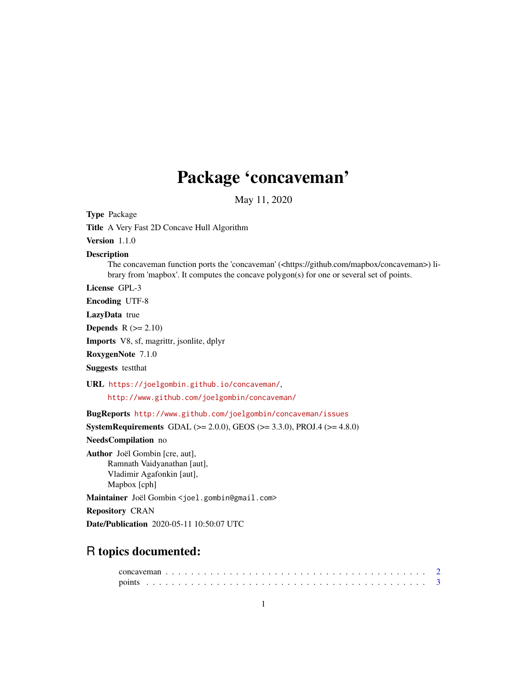## Package 'concaveman'

May 11, 2020

Type Package Title A Very Fast 2D Concave Hull Algorithm Version 1.1.0 Description The concaveman function ports the 'concaveman' (<https://github.com/mapbox/concaveman>) library from 'mapbox'. It computes the concave polygon(s) for one or several set of points. License GPL-3 Encoding UTF-8 LazyData true **Depends**  $R$  ( $>= 2.10$ ) Imports V8, sf, magrittr, jsonlite, dplyr RoxygenNote 7.1.0 Suggests testthat URL <https://joelgombin.github.io/concaveman/>, <http://www.github.com/joelgombin/concaveman/> BugReports <http://www.github.com/joelgombin/concaveman/issues> **SystemRequirements** GDAL ( $>= 2.0.0$ ), GEOS ( $>= 3.3.0$ ), PROJ.4 ( $>= 4.8.0$ ) NeedsCompilation no Author Joël Gombin [cre, aut], Ramnath Vaidyanathan [aut], Vladimir Agafonkin [aut], Mapbox [cph] Maintainer Joël Gombin <joel.gombin@gmail.com> Repository CRAN Date/Publication 2020-05-11 10:50:07 UTC R topics documented: concaveman . . . . . . . . . . . . . . . . . . . . . . . . . . . . . . . . . . . . . . . . . [2](#page-1-0) points . . . . . . . . . . . . . . . . . . . . . . . . . . . . . . . . . . . . . . . . . . . . [3](#page-2-0)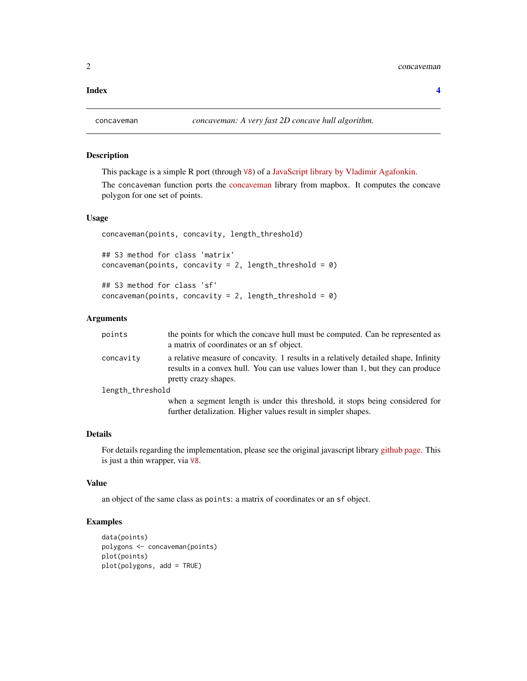### <span id="page-1-0"></span>**Index** [4](#page-3-0)

### Description

This package is a simple R port (through [V8](https://github.com/jeroen/v8)) of a [JavaScript library by Vladimir Agafonkin.](https://github.com/mapbox/concaveman)

The concaveman function ports the [concaveman](https://github.com/mapbox/concaveman) library from mapbox. It computes the concave polygon for one set of points.

### Usage

```
concaveman(points, concavity, length_threshold)
```
## S3 method for class 'matrix' concaveman(points, concavity = 2, length\_threshold =  $0$ )

```
## S3 method for class 'sf'
concaveman(points, concavity = 2, length_threshold = 0)
```
### Arguments

| points           | the points for which the concave hull must be computed. Can be represented as<br>a matrix of coordinates or an sf object.                                                                      |
|------------------|------------------------------------------------------------------------------------------------------------------------------------------------------------------------------------------------|
| concavity        | a relative measure of concavity. 1 results in a relatively detailed shape, Infinity<br>results in a convex hull. You can use values lower than 1, but they can produce<br>pretty crazy shapes. |
| length_threshold |                                                                                                                                                                                                |
|                  | when a segment length is under this threshold, it stops being considered for<br>further detalization. Higher values result in simpler shapes.                                                  |

### Details

For details regarding the implementation, please see the original javascript library [github page.](https://github.com/mapbox/concaveman) This is just a thin wrapper, via [V8](https://cran.r-project.org/package=V8).

### Value

an object of the same class as points: a matrix of coordinates or an sf object.

### Examples

```
data(points)
polygons <- concaveman(points)
plot(points)
plot(polygons, add = TRUE)
```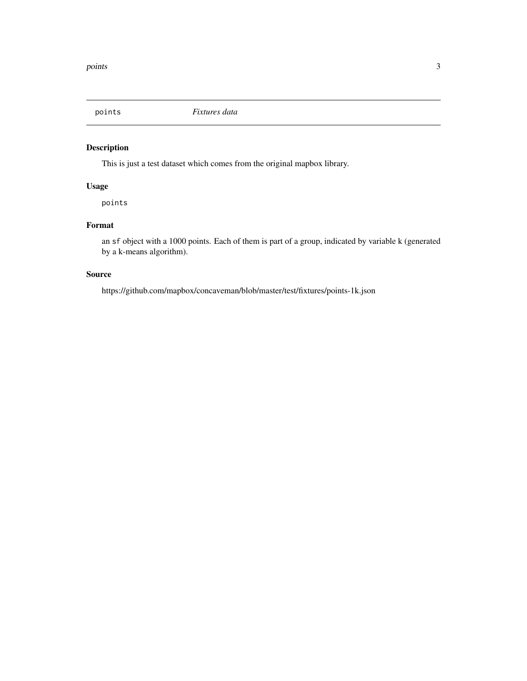<span id="page-2-0"></span>

### Description

This is just a test dataset which comes from the original mapbox library.

### Usage

points

### Format

an sf object with a 1000 points. Each of them is part of a group, indicated by variable k (generated by a k-means algorithm).

### Source

https://github.com/mapbox/concaveman/blob/master/test/fixtures/points-1k.json